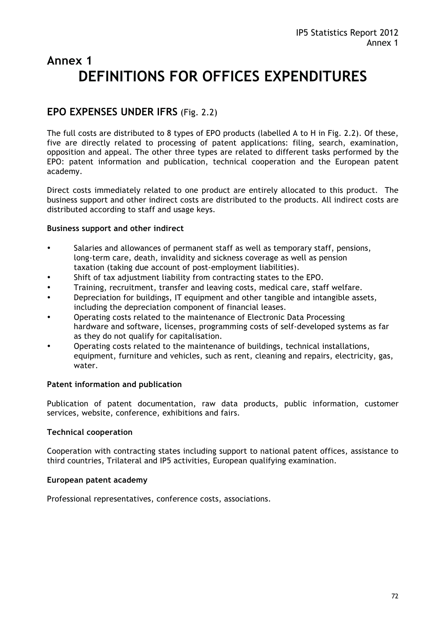# **Annex 1 DEFINITIONS FOR OFFICES EXPENDITURES**

# **EPO EXPENSES UNDER IFRS** (Fig. 2.2)

The full costs are distributed to 8 types of EPO products (labelled A to H in Fig. 2.2). Of these, five are directly related to processing of patent applications: filing, search, examination, opposition and appeal. The other three types are related to different tasks performed by the EPO: patent information and publication, technical cooperation and the European patent academy.

Direct costs immediately related to one product are entirely allocated to this product. The business support and other indirect costs are distributed to the products. All indirect costs are distributed according to staff and usage keys.

#### **Business support and other indirect**

- Salaries and allowances of permanent staff as well as temporary staff, pensions, long-term care, death, invalidity and sickness coverage as well as pension taxation (taking due account of post-employment liabilities).
- Shift of tax adjustment liability from contracting states to the EPO.
- Training, recruitment, transfer and leaving costs, medical care, staff welfare.
- Depreciation for buildings, IT equipment and other tangible and intangible assets, including the depreciation component of financial leases.
- Operating costs related to the maintenance of Electronic Data Processing hardware and software, licenses, programming costs of self-developed systems as far as they do not qualify for capitalisation.
- Operating costs related to the maintenance of buildings, technical installations, equipment, furniture and vehicles, such as rent, cleaning and repairs, electricity, gas, water.

#### **Patent information and publication**

Publication of patent documentation, raw data products, public information, customer services, website, conference, exhibitions and fairs.

#### **Technical cooperation**

Cooperation with contracting states including support to national patent offices, assistance to third countries, Trilateral and IP5 activities, European qualifying examination.

#### **European patent academy**

Professional representatives, conference costs, associations.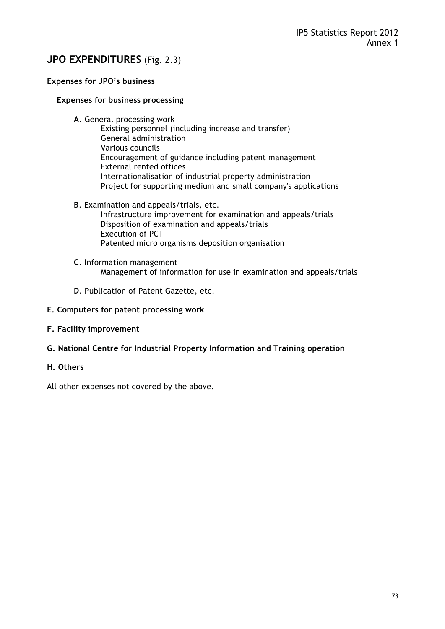# **JPO EXPENDITURES** (Fig. 2.3)

# **Expenses for JPO's business**

#### **Expenses for business processing**

- **A**. General processing work
	- Existing personnel (including increase and transfer) General administration Various councils Encouragement of guidance including patent management External rented offices Internationalisation of industrial property administration Project for supporting medium and small company's applications
- **B**. Examination and appeals/trials, etc. Infrastructure improvement for examination and appeals/trials Disposition of examination and appeals/trials Execution of PCT

Patented micro organisms deposition organisation

- **C**. Information management Management of information for use in examination and appeals/trials
- **D**. Publication of Patent Gazette, etc.

#### **E. Computers for patent processing work**

- **F. Facility improvement**
- **G. National Centre for Industrial Property Information and Training operation**
- **H. Others**

All other expenses not covered by the above.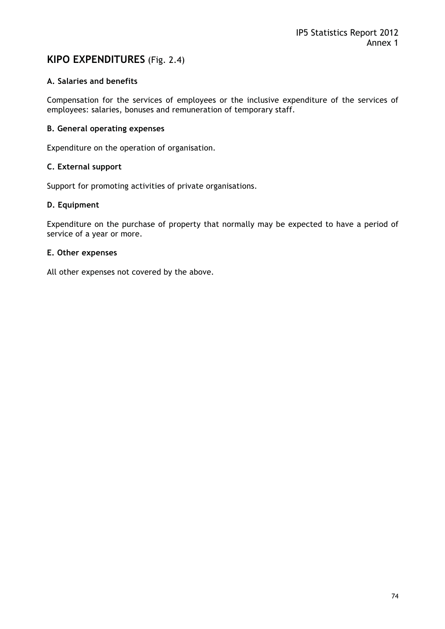# **KIPO EXPENDITURES** (Fig. 2.4)

# **A. Salaries and benefits**

Compensation for the services of employees or the inclusive expenditure of the services of employees: salaries, bonuses and remuneration of temporary staff.

### **B. General operating expenses**

Expenditure on the operation of organisation.

#### **C. External support**

Support for promoting activities of private organisations.

#### **D. Equipment**

Expenditure on the purchase of property that normally may be expected to have a period of service of a year or more.

#### **E. Other expenses**

All other expenses not covered by the above.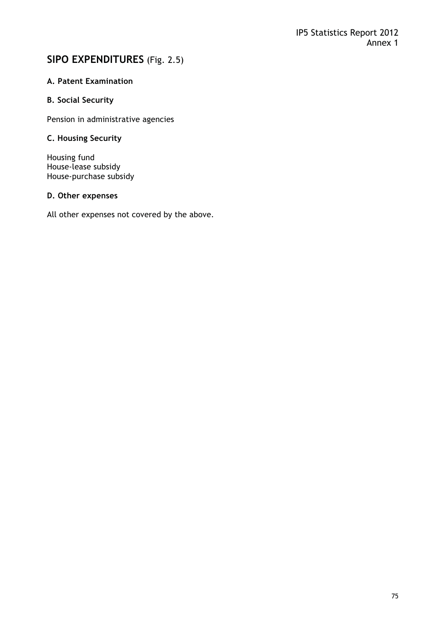# **SIPO EXPENDITURES** (Fig. 2.5)

# **A. Patent Examination**

## **B. Social Security**

Pension in administrative agencies

# **C. Housing Security**

Housing fund House-lease subsidy House-purchase subsidy

#### **D. Other expenses**

All other expenses not covered by the above.